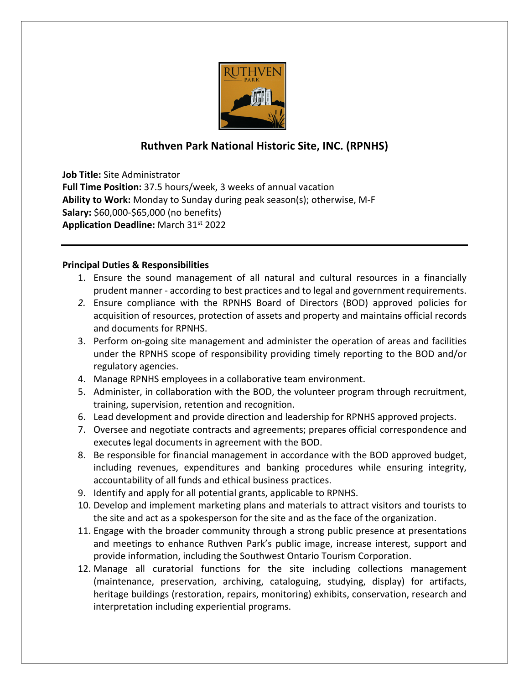

## **Ruthven Park National Historic Site, INC. (RPNHS)**

**Job Title:** Site Administrator **Full Time Position:** 37.5 hours/week, 3 weeks of annual vacation **Ability to Work:** Monday to Sunday during peak season(s); otherwise, M-F **Salary:** \$60,000-\$65,000 (no benefits) **Application Deadline:** March 31st 2022

## **Principal Duties & Responsibilities**

- 1. Ensure the sound management of all natural and cultural resources in a financially prudent manner - according to best practices and to legal and government requirements.
- *2.* Ensure compliance with the RPNHS Board of Directors (BOD) approved policies for acquisition of resources, protection of assets and property and maintains official records and documents for RPNHS.
- 3. Perform on-going site management and administer the operation of areas and facilities under the RPNHS scope of responsibility providing timely reporting to the BOD and/or regulatory agencies.
- 4. Manage RPNHS employees in a collaborative team environment.
- 5. Administer, in collaboration with the BOD, the volunteer program through recruitment, training, supervision, retention and recognition.
- 6. Lead development and provide direction and leadership for RPNHS approved projects.
- 7. Oversee and negotiate contracts and agreements; prepares official correspondence and executes legal documents in agreement with the BOD.
- 8. Be responsible for financial management in accordance with the BOD approved budget, including revenues, expenditures and banking procedures while ensuring integrity, accountability of all funds and ethical business practices.
- 9. Identify and apply for all potential grants, applicable to RPNHS.
- 10. Develop and implement marketing plans and materials to attract visitors and tourists to the site and act as a spokesperson for the site and as the face of the organization.
- 11. Engage with the broader community through a strong public presence at presentations and meetings to enhance Ruthven Park's public image, increase interest, support and provide information, including the Southwest Ontario Tourism Corporation.
- 12. Manage all curatorial functions for the site including collections management (maintenance, preservation, archiving, cataloguing, studying, display) for artifacts, heritage buildings (restoration, repairs, monitoring) exhibits, conservation, research and interpretation including experiential programs.